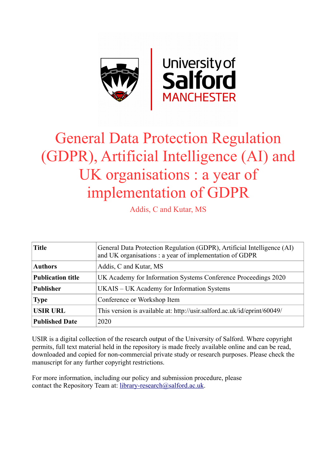

# General Data Protection Regulation (GDPR), Artificial Intelligence (AI) and UK organisations : a year of implementation of GDPR

Addis, C and Kutar, MS

| <b>Title</b>             | General Data Protection Regulation (GDPR), Artificial Intelligence (AI)<br>and UK organisations: a year of implementation of GDPR |  |  |  |  |
|--------------------------|-----------------------------------------------------------------------------------------------------------------------------------|--|--|--|--|
| <b>Authors</b>           | Addis, C and Kutar, MS                                                                                                            |  |  |  |  |
| <b>Publication title</b> | UK Academy for Information Systems Conference Proceedings 2020                                                                    |  |  |  |  |
| <b>Publisher</b>         | UKAIS – UK Academy for Information Systems                                                                                        |  |  |  |  |
| <b>Type</b>              | Conference or Workshop Item                                                                                                       |  |  |  |  |
| <b>USIR URL</b>          | This version is available at: http://usir.salford.ac.uk/id/eprint/60049/                                                          |  |  |  |  |
| <b>Published Date</b>    | 2020                                                                                                                              |  |  |  |  |

USIR is a digital collection of the research output of the University of Salford. Where copyright permits, full text material held in the repository is made freely available online and can be read, downloaded and copied for non-commercial private study or research purposes. Please check the manuscript for any further copyright restrictions.

For more information, including our policy and submission procedure, please contact the Repository Team at: [library-research@salford.ac.uk.](mailto:library-research@salford.ac.uk)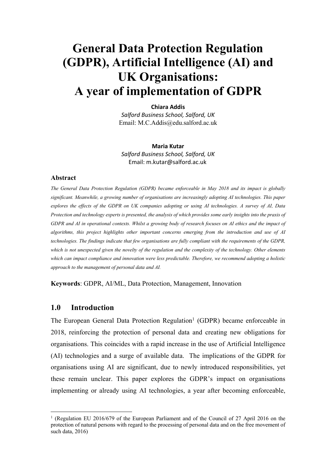# **General Data Protection Regulation (GDPR), Artificial Intelligence (AI) and UK Organisations: A year of implementation of GDPR**

**Chiara Addis** *Salford Business School, Salford, UK* Email: M.C.Addis@edu.salford.ac.uk

**Maria Kutar** *Salford Business School, Salford, UK* Email: m.kutar@salford.ac.uk

#### **Abstract**

*The General Data Protection Regulation (GDPR) became enforceable in May 2018 and its impact is globally significant. Meanwhile, a growing number of organisations are increasingly adopting AI technologies. This paper explores the effects of the GDPR on UK companies adopting or using AI technologies. A survey of AI, Data Protection and technology experts is presented, the analysis of which provides some early insights into the praxis of GDPR and AI in operational contexts. Whilst a growing body of research focuses on AI ethics and the impact of algorithms, this project highlights other important concerns emerging from the introduction and use of AI technologies. The findings indicate that few organisations are fully compliant with the requirements of the GDPR, which is not unexpected given the novelty of the regulation and the complexity of the technology. Other elements which can impact compliance and innovation were less predictable. Therefore, we recommend adopting a holistic approach to the management of personal data and AI.*

**Keywords**: GDPR, AI/ML, Data Protection, Management, Innovation

# **1.0 Introduction**

The European General Data Protection Regulation<sup>1</sup> (GDPR) became enforceable in 2018, reinforcing the protection of personal data and creating new obligations for organisations. This coincides with a rapid increase in the use of Artificial Intelligence (AI) technologies and a surge of available data. The implications of the GDPR for organisations using AI are significant, due to newly introduced responsibilities, yet these remain unclear. This paper explores the GDPR's impact on organisations implementing or already using AI technologies, a year after becoming enforceable,

<sup>1</sup> (Regulation EU 2016/679 of the European Parliament and of the Council of 27 April 2016 on the protection of natural persons with regard to the processing of personal data and on the free movement of such data, 2016)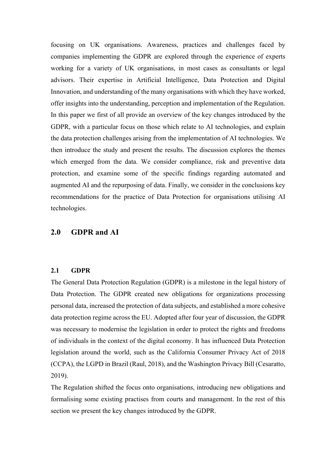focusing on UK organisations. Awareness, practices and challenges faced by companies implementing the GDPR are explored through the experience of experts working for a variety of UK organisations, in most cases as consultants or legal advisors. Their expertise in Artificial Intelligence, Data Protection and Digital Innovation, and understanding of the many organisations with which they have worked, offer insights into the understanding, perception and implementation of the Regulation. In this paper we first of all provide an overview of the key changes introduced by the GDPR, with a particular focus on those which relate to AI technologies, and explain the data protection challenges arising from the implementation of AI technologies. We then introduce the study and present the results. The discussion explores the themes which emerged from the data. We consider compliance, risk and preventive data protection, and examine some of the specific findings regarding automated and augmented AI and the repurposing of data. Finally, we consider in the conclusions key recommendations for the practice of Data Protection for organisations utilising AI technologies.

# **2.0 GDPR and AI**

#### **2.1 GDPR**

The General Data Protection Regulation (GDPR) is a milestone in the legal history of Data Protection. The GDPR created new obligations for organizations processing personal data, increased the protection of data subjects, and established a more cohesive data protection regime across the EU. Adopted after four year of discussion, the GDPR was necessary to modernise the legislation in order to protect the rights and freedoms of individuals in the context of the digital economy. It has influenced Data Protection legislation around the world, such as the California Consumer Privacy Act of 2018 (CCPA), the LGPD in Brazil (Raul, 2018), and the Washington Privacy Bill (Cesaratto, 2019).

The Regulation shifted the focus onto organisations, introducing new obligations and formalising some existing practises from courts and management. In the rest of this section we present the key changes introduced by the GDPR.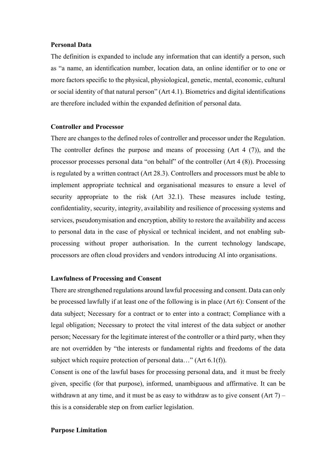#### **Personal Data**

The definition is expanded to include any information that can identify a person, such as "a name, an identification number, location data, an online identifier or to one or more factors specific to the physical, physiological, genetic, mental, economic, cultural or social identity of that natural person" (Art 4.1). Biometrics and digital identifications are therefore included within the expanded definition of personal data.

#### **Controller and Processor**

There are changes to the defined roles of controller and processor under the Regulation. The controller defines the purpose and means of processing (Art 4 (7)), and the processor processes personal data "on behalf" of the controller (Art 4 (8)). Processing is regulated by a written contract (Art 28.3). Controllers and processors must be able to implement appropriate technical and organisational measures to ensure a level of security appropriate to the risk (Art 32.1). These measures include testing, confidentiality, security, integrity, availability and resilience of processing systems and services, pseudonymisation and encryption, ability to restore the availability and access to personal data in the case of physical or technical incident, and not enabling subprocessing without proper authorisation. In the current technology landscape, processors are often cloud providers and vendors introducing AI into organisations.

#### **Lawfulness of Processing and Consent**

There are strengthened regulations around lawful processing and consent. Data can only be processed lawfully if at least one of the following is in place (Art 6): Consent of the data subject; Necessary for a contract or to enter into a contract; Compliance with a legal obligation; Necessary to protect the vital interest of the data subject or another person; Necessary for the legitimate interest of the controller or a third party, when they are not overridden by "the interests or fundamental rights and freedoms of the data subject which require protection of personal data..." (Art 6.1(f)).

Consent is one of the lawful bases for processing personal data, and it must be freely given, specific (for that purpose), informed, unambiguous and affirmative. It can be withdrawn at any time, and it must be as easy to withdraw as to give consent  $(Art 7)$  – this is a considerable step on from earlier legislation.

#### **Purpose Limitation**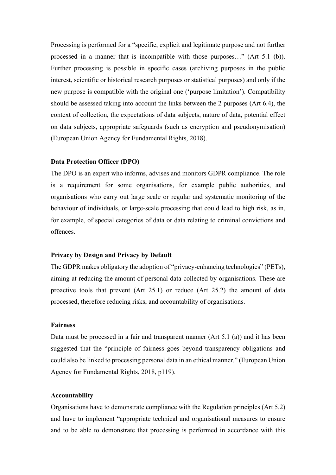Processing is performed for a "specific, explicit and legitimate purpose and not further processed in a manner that is incompatible with those purposes…" (Art 5.1 (b)). Further processing is possible in specific cases (archiving purposes in the public interest, scientific or historical research purposes or statistical purposes) and only if the new purpose is compatible with the original one ('purpose limitation'). Compatibility should be assessed taking into account the links between the 2 purposes (Art 6.4), the context of collection, the expectations of data subjects, nature of data, potential effect on data subjects, appropriate safeguards (such as encryption and pseudonymisation) (European Union Agency for Fundamental Rights, 2018).

#### **Data Protection Officer (DPO)**

The DPO is an expert who informs, advises and monitors GDPR compliance. The role is a requirement for some organisations, for example public authorities, and organisations who carry out large scale or regular and systematic monitoring of the behaviour of individuals, or large-scale processing that could lead to high risk, as in, for example, of special categories of data or data relating to criminal convictions and offences.

#### **Privacy by Design and Privacy by Default**

The GDPR makes obligatory the adoption of "privacy-enhancing technologies" (PETs), aiming at reducing the amount of personal data collected by organisations. These are proactive tools that prevent (Art 25.1) or reduce (Art 25.2) the amount of data processed, therefore reducing risks, and accountability of organisations.

### **Fairness**

Data must be processed in a fair and transparent manner (Art 5.1 (a)) and it has been suggested that the "principle of fairness goes beyond transparency obligations and could also be linked to processing personal data in an ethical manner." (European Union Agency for Fundamental Rights, 2018, p119).

#### **Accountability**

Organisations have to demonstrate compliance with the Regulation principles (Art 5.2) and have to implement "appropriate technical and organisational measures to ensure and to be able to demonstrate that processing is performed in accordance with this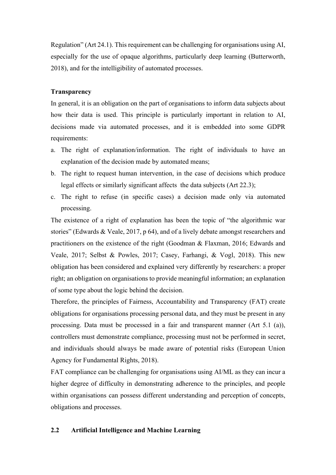Regulation" (Art 24.1). This requirement can be challenging for organisations using AI, especially for the use of opaque algorithms, particularly deep learning (Butterworth, 2018), and for the intelligibility of automated processes.

# **Transparency**

In general, it is an obligation on the part of organisations to inform data subjects about how their data is used. This principle is particularly important in relation to AI, decisions made via automated processes, and it is embedded into some GDPR requirements:

- a. The right of explanation/information. The right of individuals to have an explanation of the decision made by automated means;
- b. The right to request human intervention, in the case of decisions which produce legal effects or similarly significant affects the data subjects (Art 22.3);
- c. The right to refuse (in specific cases) a decision made only via automated processing.

The existence of a right of explanation has been the topic of "the algorithmic war stories" (Edwards & Veale, 2017, p 64), and of a lively debate amongst researchers and practitioners on the existence of the right (Goodman & Flaxman, 2016; Edwards and Veale, 2017; Selbst & Powles, 2017; Casey, Farhangi, & Vogl, 2018). This new obligation has been considered and explained very differently by researchers: a proper right; an obligation on organisations to provide meaningful information; an explanation of some type about the logic behind the decision.

Therefore, the principles of Fairness, Accountability and Transparency (FAT) create obligations for organisations processing personal data, and they must be present in any processing. Data must be processed in a fair and transparent manner (Art 5.1 (a)), controllers must demonstrate compliance, processing must not be performed in secret, and individuals should always be made aware of potential risks (European Union Agency for Fundamental Rights, 2018).

FAT compliance can be challenging for organisations using AI/ML as they can incur a higher degree of difficulty in demonstrating adherence to the principles, and people within organisations can possess different understanding and perception of concepts, obligations and processes.

# **2.2 Artificial Intelligence and Machine Learning**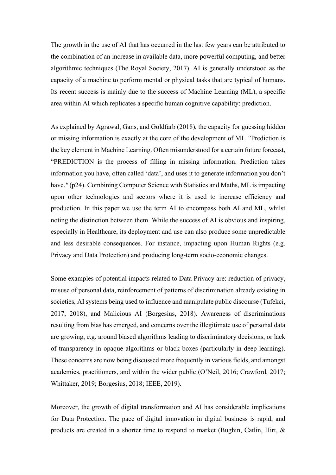The growth in the use of AI that has occurred in the last few years can be attributed to the combination of an increase in available data, more powerful computing, and better algorithmic techniques (The Royal Society, 2017). AI is generally understood as the capacity of a machine to perform mental or physical tasks that are typical of humans. Its recent success is mainly due to the success of Machine Learning (ML), a specific area within AI which replicates a specific human cognitive capability: prediction.

As explained by Agrawal, Gans, and Goldfarb (2018), the capacity for guessing hidden or missing information is exactly at the core of the development of ML *"*Prediction is the key element in Machine Learning. Often misunderstood for a certain future forecast, "PREDICTION is the process of filling in missing information. Prediction takes information you have, often called 'data', and uses it to generate information you don't have." (p24). Combining Computer Science with Statistics and Maths, ML is impacting upon other technologies and sectors where it is used to increase efficiency and production. In this paper we use the term AI to encompass both AI and ML, whilst noting the distinction between them. While the success of AI is obvious and inspiring, especially in Healthcare, its deployment and use can also produce some unpredictable and less desirable consequences. For instance, impacting upon Human Rights (e.g. Privacy and Data Protection) and producing long-term socio-economic changes.

Some examples of potential impacts related to Data Privacy are: reduction of privacy, misuse of personal data, reinforcement of patterns of discrimination already existing in societies, AI systems being used to influence and manipulate public discourse (Tufekci, 2017, 2018), and Malicious AI (Borgesius, 2018). Awareness of discriminations resulting from bias has emerged, and concerns over the illegitimate use of personal data are growing, e.g. around biased algorithms leading to discriminatory decisions, or lack of transparency in opaque algorithms or black boxes (particularly in deep learning). These concerns are now being discussed more frequently in various fields, and amongst academics, practitioners, and within the wider public (O'Neil, 2016; Crawford, 2017; Whittaker, 2019; Borgesius, 2018; IEEE, 2019).

Moreover, the growth of digital transformation and AI has considerable implications for Data Protection. The pace of digital innovation in digital business is rapid, and products are created in a shorter time to respond to market (Bughin, Catlin, Hirt, &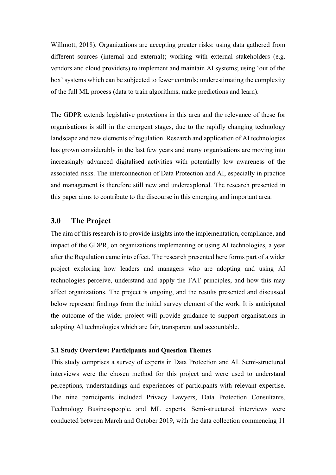Willmott, 2018). Organizations are accepting greater risks: using data gathered from different sources (internal and external); working with external stakeholders (e.g. vendors and cloud providers) to implement and maintain AI systems; using 'out of the box' systems which can be subjected to fewer controls; underestimating the complexity of the full ML process (data to train algorithms, make predictions and learn).

The GDPR extends legislative protections in this area and the relevance of these for organisations is still in the emergent stages, due to the rapidly changing technology landscape and new elements of regulation. Research and application of AI technologies has grown considerably in the last few years and many organisations are moving into increasingly advanced digitalised activities with potentially low awareness of the associated risks. The interconnection of Data Protection and AI, especially in practice and management is therefore still new and underexplored. The research presented in this paper aims to contribute to the discourse in this emerging and important area.

# **3.0 The Project**

The aim of this research is to provide insights into the implementation, compliance, and impact of the GDPR, on organizations implementing or using AI technologies, a year after the Regulation came into effect. The research presented here forms part of a wider project exploring how leaders and managers who are adopting and using AI technologies perceive, understand and apply the FAT principles, and how this may affect organizations. The project is ongoing, and the results presented and discussed below represent findings from the initial survey element of the work. It is anticipated the outcome of the wider project will provide guidance to support organisations in adopting AI technologies which are fair, transparent and accountable.

#### **3.1 Study Overview: Participants and Question Themes**

This study comprises a survey of experts in Data Protection and AI. Semi-structured interviews were the chosen method for this project and were used to understand perceptions, understandings and experiences of participants with relevant expertise. The nine participants included Privacy Lawyers, Data Protection Consultants, Technology Businesspeople, and ML experts. Semi-structured interviews were conducted between March and October 2019, with the data collection commencing 11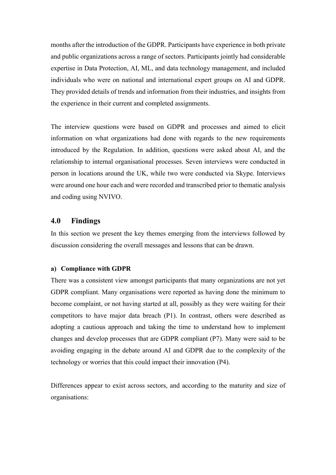months after the introduction of the GDPR. Participants have experience in both private and public organizations across a range of sectors. Participants jointly had considerable expertise in Data Protection, AI, ML, and data technology management, and included individuals who were on national and international expert groups on AI and GDPR. They provided details of trends and information from their industries, and insights from the experience in their current and completed assignments.

The interview questions were based on GDPR and processes and aimed to elicit information on what organizations had done with regards to the new requirements introduced by the Regulation. In addition, questions were asked about AI, and the relationship to internal organisational processes. Seven interviews were conducted in person in locations around the UK, while two were conducted via Skype. Interviews were around one hour each and were recorded and transcribed prior to thematic analysis and coding using NVIVO.

# **4.0 Findings**

In this section we present the key themes emerging from the interviews followed by discussion considering the overall messages and lessons that can be drawn.

#### **a) Compliance with GDPR**

There was a consistent view amongst participants that many organizations are not yet GDPR compliant. Many organisations were reported as having done the minimum to become complaint, or not having started at all, possibly as they were waiting for their competitors to have major data breach (P1). In contrast, others were described as adopting a cautious approach and taking the time to understand how to implement changes and develop processes that are GDPR compliant (P7). Many were said to be avoiding engaging in the debate around AI and GDPR due to the complexity of the technology or worries that this could impact their innovation (P4).

Differences appear to exist across sectors, and according to the maturity and size of organisations: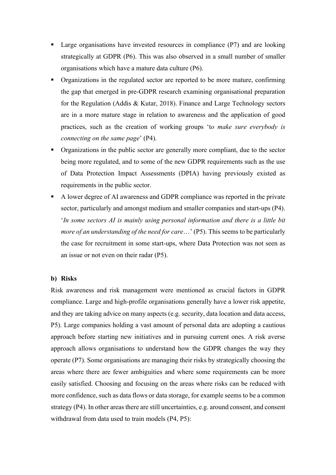- Large organisations have invested resources in compliance  $(P7)$  and are looking strategically at GDPR (P6). This was also observed in a small number of smaller organisations which have a mature data culture (P6).
- § Organizations in the regulated sector are reported to be more mature, confirming the gap that emerged in pre-GDPR research examining organisational preparation for the Regulation (Addis & Kutar, 2018). Finance and Large Technology sectors are in a more mature stage in relation to awareness and the application of good practices, such as the creation of working groups 't*o make sure everybody is connecting on the same page*' (P4).
- § Organizations in the public sector are generally more compliant, due to the sector being more regulated, and to some of the new GDPR requirements such as the use of Data Protection Impact Assessments (DPIA) having previously existed as requirements in the public sector.
- § A lower degree of AI awareness and GDPR compliance was reported in the private sector, particularly and amongst medium and smaller companies and start-ups (P4). '*In some sectors AI is mainly using personal information and there is a little bit more of an understanding of the need for care*…' (P5). This seems to be particularly the case for recruitment in some start-ups, where Data Protection was not seen as an issue or not even on their radar (P5).

#### **b) Risks**

Risk awareness and risk management were mentioned as crucial factors in GDPR compliance. Large and high-profile organisations generally have a lower risk appetite, and they are taking advice on many aspects (e.g. security, data location and data access, P5). Large companies holding a vast amount of personal data are adopting a cautious approach before starting new initiatives and in pursuing current ones. A risk averse approach allows organisations to understand how the GDPR changes the way they operate (P7). Some organisations are managing their risks by strategically choosing the areas where there are fewer ambiguities and where some requirements can be more easily satisfied. Choosing and focusing on the areas where risks can be reduced with more confidence, such as data flows or data storage, for example seems to be a common strategy (P4). In other areas there are still uncertainties, e.g. around consent, and consent withdrawal from data used to train models (P4, P5):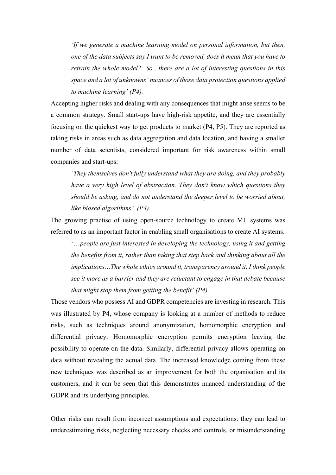*'If we generate a machine learning model on personal information, but then, one of the data subjects say I want to be removed, does it mean that you have to retrain the whole model? So…there are a lot of interesting questions in this space and a lot of unknowns' nuances of those data protection questions applied to machine learning' (P4).*

Accepting higher risks and dealing with any consequences that might arise seems to be a common strategy. Small start-ups have high-risk appetite, and they are essentially focusing on the quickest way to get products to market (P4, P5). They are reported as taking risks in areas such as data aggregation and data location, and having a smaller number of data scientists, considered important for risk awareness within small companies and start-ups:

*'They themselves don't fully understand what they are doing, and they probably have a very high level of abstraction. They don't know which questions they should be asking, and do not understand the deeper level to be worried about, like biased algorithms'. (P4).* 

The growing practise of using open-source technology to create ML systems was referred to as an important factor in enabling small organisations to create AI systems.

'…*people are just interested in developing the technology, using it and getting the benefits from it, rather than taking that step back and thinking about all the implications…The whole ethics around it, transparency around it, I think people see it more as a barrier and they are reluctant to engage in that debate because that might stop them from getting the benefit' (P4).*

Those vendors who possess AI and GDPR competencies are investing in research. This was illustrated by P4, whose company is looking at a number of methods to reduce risks, such as techniques around anonymization, homomorphic encryption and differential privacy. Homomorphic encryption permits encryption leaving the possibility to operate on the data. Similarly, differential privacy allows operating on data without revealing the actual data. The increased knowledge coming from these new techniques was described as an improvement for both the organisation and its customers, and it can be seen that this demonstrates nuanced understanding of the GDPR and its underlying principles.

Other risks can result from incorrect assumptions and expectations: they can lead to underestimating risks, neglecting necessary checks and controls, or misunderstanding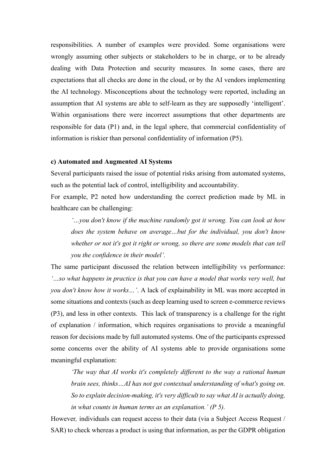responsibilities. A number of examples were provided. Some organisations were wrongly assuming other subjects or stakeholders to be in charge, or to be already dealing with Data Protection and security measures. In some cases, there are expectations that all checks are done in the cloud, or by the AI vendors implementing the AI technology. Misconceptions about the technology were reported, including an assumption that AI systems are able to self-learn as they are supposedly 'intelligent'. Within organisations there were incorrect assumptions that other departments are responsible for data (P1) and, in the legal sphere, that commercial confidentiality of information is riskier than personal confidentiality of information (P5).

#### **c) Automated and Augmented AI Systems**

Several participants raised the issue of potential risks arising from automated systems, such as the potential lack of control, intelligibility and accountability.

For example, P2 noted how understanding the correct prediction made by ML in healthcare can be challenging:

*'…you don't know if the machine randomly got it wrong. You can look at how does the system behave on average…but for the individual, you don't know whether or not it's got it right or wrong, so there are some models that can tell you the confidence in their model'.* 

The same participant discussed the relation between intelligibility vs performance: *'…so what happens in practice is that you can have a model that works very well, but you don't know how it works…'*. A lack of explainability in ML was more accepted in some situations and contexts (such as deep learning used to screen e-commerce reviews (P3), and less in other contexts. This lack of transparency is a challenge for the right of explanation / information, which requires organisations to provide a meaningful reason for decisions made by full automated systems. One of the participants expressed some concerns over the ability of AI systems able to provide organisations some meaningful explanation:

*'The way that AI works it's completely different to the way a rational human brain sees, thinks…AI has not got contextual understanding of what's going on. So to explain decision-making, it's very difficult to say what AI is actually doing, in what counts in human terms as an explanation.' (P 5).*

However*,* individuals can request access to their data (via a Subject Access Request / SAR) to check whereas a product is using that information, as per the GDPR obligation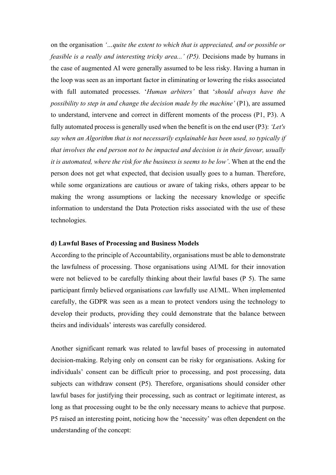on the organisation *'…quite the extent to which that is appreciated, and or possible or feasible is a really and interesting tricky area...' (P5).* Decisions made by humans in the case of augmented AI were generally assumed to be less risky. Having a human in the loop was seen as an important factor in eliminating or lowering the risks associated with full automated processes. '*Human arbiters'* that '*should always have the possibility to step in and change the decision made by the machine'* (P1), are assumed to understand, intervene and correct in different moments of the process (P1, P3). A fully automated process is generally used when the benefit is on the end user (P3): *'Let's say when an Algorithm that is not necessarily explainable has been used, so typically if that involves the end person not to be impacted and decision is in their favour, usually it is automated, where the risk for the business is seems to be low'*. When at the end the person does not get what expected, that decision usually goes to a human. Therefore, while some organizations are cautious or aware of taking risks, others appear to be making the wrong assumptions or lacking the necessary knowledge or specific information to understand the Data Protection risks associated with the use of these technologies.

#### **d) Lawful Bases of Processing and Business Models**

According to the principle of Accountability, organisations must be able to demonstrate the lawfulness of processing. Those organisations using AI/ML for their innovation were not believed to be carefully thinking about their lawful bases (P 5). The same participant firmly believed organisations *can* lawfully use AI/ML. When implemented carefully, the GDPR was seen as a mean to protect vendors using the technology to develop their products, providing they could demonstrate that the balance between theirs and individuals' interests was carefully considered.

Another significant remark was related to lawful bases of processing in automated decision-making. Relying only on consent can be risky for organisations. Asking for individuals' consent can be difficult prior to processing, and post processing, data subjects can withdraw consent (P5). Therefore, organisations should consider other lawful bases for justifying their processing, such as contract or legitimate interest, as long as that processing ought to be the only necessary means to achieve that purpose. P5 raised an interesting point, noticing how the 'necessity' was often dependent on the understanding of the concept: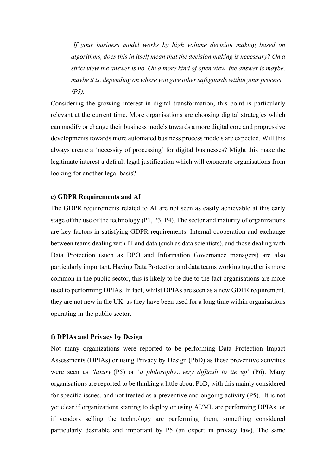*'If your business model works by high volume decision making based on algorithms, does this in itself mean that the decision making is necessary? On a strict view the answer is no. On a more kind of open view, the answer is maybe, maybe it is, depending on where you give other safeguards within your process.' (P5).*

Considering the growing interest in digital transformation, this point is particularly relevant at the current time. More organisations are choosing digital strategies which can modify or change their business models towards a more digital core and progressive developments towards more automated business process models are expected. Will this always create a 'necessity of processing' for digital businesses? Might this make the legitimate interest a default legal justification which will exonerate organisations from looking for another legal basis?

#### **e) GDPR Requirements and AI**

The GDPR requirements related to AI are not seen as easily achievable at this early stage of the use of the technology (P1, P3, P4). The sector and maturity of organizations are key factors in satisfying GDPR requirements. Internal cooperation and exchange between teams dealing with IT and data (such as data scientists), and those dealing with Data Protection (such as DPO and Information Governance managers) are also particularly important. Having Data Protection and data teams working together is more common in the public sector, this is likely to be due to the fact organisations are more used to performing DPIAs. In fact, whilst DPIAs are seen as a new GDPR requirement, they are not new in the UK, as they have been used for a long time within organisations operating in the public sector.

#### **f) DPIAs and Privacy by Design**

Not many organizations were reported to be performing Data Protection Impact Assessments (DPIAs) or using Privacy by Design (PbD) as these preventive activities were seen as *'luxury'*(P5) or '*a philosophy…very difficult to tie up*' (P6). Many organisations are reported to be thinking a little about PbD, with this mainly considered for specific issues, and not treated as a preventive and ongoing activity (P5). It is not yet clear if organizations starting to deploy or using AI/ML are performing DPIAs, or if vendors selling the technology are performing them, something considered particularly desirable and important by P5 (an expert in privacy law). The same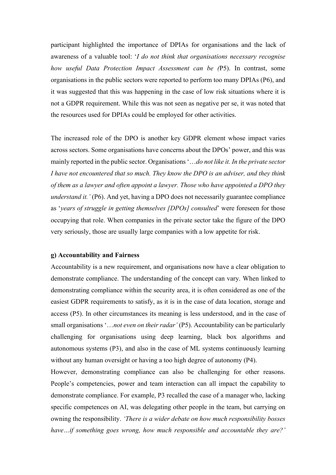participant highlighted the importance of DPIAs for organisations and the lack of awareness of a valuable tool: '*I do not think that organisations necessary recognise how useful Data Protection Impact Assessment can be (*P5). In contrast, some organisations in the public sectors were reported to perform too many DPIAs (P6), and it was suggested that this was happening in the case of low risk situations where it is not a GDPR requirement. While this was not seen as negative per se, it was noted that the resources used for DPIAs could be employed for other activities.

The increased role of the DPO is another key GDPR element whose impact varies across sectors. Some organisations have concerns about the DPOs' power, and this was mainly reported in the public sector. Organisations '…*do not like it. In the private sector I have not encountered that so much. They know the DPO is an adviser, and they think of them as a lawyer and often appoint a lawyer. Those who have appointed a DPO they understand it.'* (P6). And yet, having a DPO does not necessarily guarantee compliance as '*years of struggle in getting themselves [DPOs] consulted*' were foreseen for those occupying that role. When companies in the private sector take the figure of the DPO very seriously, those are usually large companies with a low appetite for risk.

#### **g) Accountability and Fairness**

Accountability is a new requirement, and organisations now have a clear obligation to demonstrate compliance. The understanding of the concept can vary. When linked to demonstrating compliance within the security area, it is often considered as one of the easiest GDPR requirements to satisfy, as it is in the case of data location, storage and access (P5). In other circumstances its meaning is less understood, and in the case of small organisations '…*not even on their radar'* (P5). Accountability can be particularly challenging for organisations using deep learning, black box algorithms and autonomous systems (P3), and also in the case of ML systems continuously learning without any human oversight or having a too high degree of autonomy (P4).

However, demonstrating compliance can also be challenging for other reasons. People's competencies, power and team interaction can all impact the capability to demonstrate compliance. For example, P3 recalled the case of a manager who, lacking specific competences on AI, was delegating other people in the team, but carrying on owning the responsibility. *'There is a wider debate on how much responsibility bosses have…if something goes wrong, how much responsible and accountable they are?'*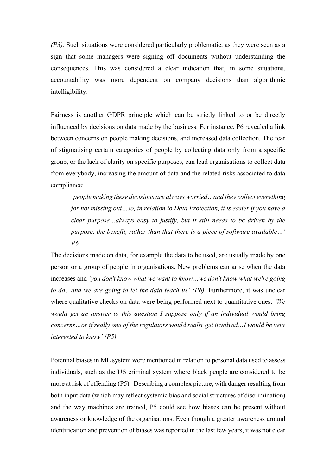*(P3).* Such situations were considered particularly problematic, as they were seen as a sign that some managers were signing off documents without understanding the consequences. This was considered a clear indication that, in some situations, accountability was more dependent on company decisions than algorithmic intelligibility.

Fairness is another GDPR principle which can be strictly linked to or be directly influenced by decisions on data made by the business. For instance, P6 revealed a link between concerns on people making decisions, and increased data collection. The fear of stigmatising certain categories of people by collecting data only from a specific group, or the lack of clarity on specific purposes, can lead organisations to collect data from everybody, increasing the amount of data and the related risks associated to data compliance:

*'people making these decisions are always worried…and they collect everything for not missing out…so, in relation to Data Protection, it is easier if you have a clear purpose…always easy to justify, but it still needs to be driven by the purpose, the benefit, rather than that there is a piece of software available…' P6*

The decisions made on data, for example the data to be used, are usually made by one person or a group of people in organisations. New problems can arise when the data increases and *'you don't know what we want to know…we don't know what we're going to do…and we are going to let the data teach us' (P6).* Furthermore, it was unclear where qualitative checks on data were being performed next to quantitative ones: *'We would get an answer to this question I suppose only if an individual would bring concerns…or if really one of the regulators would really get involved…I would be very interested to know' (P5).*

Potential biases in ML system were mentioned in relation to personal data used to assess individuals, such as the US criminal system where black people are considered to be more at risk of offending (P5). Describing a complex picture, with danger resulting from both input data (which may reflect systemic bias and social structures of discrimination) and the way machines are trained, P5 could see how biases can be present without awareness or knowledge of the organisations. Even though a greater awareness around identification and prevention of biases was reported in the last few years, it was not clear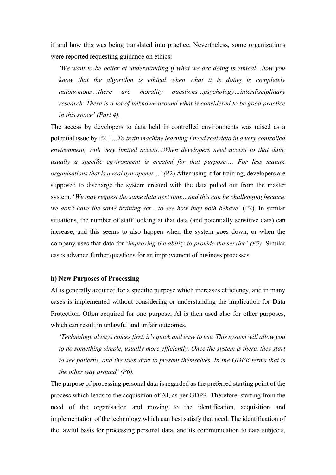if and how this was being translated into practice. Nevertheless, some organizations were reported requesting guidance on ethics:

*'We want to be better at understanding if what we are doing is ethical…how you know that the algorithm is ethical when what it is doing is completely autonomous…there are morality questions…psychology…interdisciplinary research. There is a lot of unknown around what is considered to be good practice in this space' (Part 4).*

The access by developers to data held in controlled environments was raised as a potential issue by P2. *'…To train machine learning I need real data in a very controlled environment, with very limited access...When developers need access to that data, usually a specific environment is created for that purpose…. For less mature organisations that is a real eye-opener…' (*P2) After using it for training, developers are supposed to discharge the system created with the data pulled out from the master system. '*We may request the same data next time…and this can be challenging because we don't have the same training set ...to see how they both behave'* (P2). In similar situations, the number of staff looking at that data (and potentially sensitive data) can increase, and this seems to also happen when the system goes down, or when the company uses that data for '*improving the ability to provide the service' (P2)*. Similar cases advance further questions for an improvement of business processes.

#### **h) New Purposes of Processing**

AI is generally acquired for a specific purpose which increases efficiency, and in many cases is implemented without considering or understanding the implication for Data Protection. Often acquired for one purpose, AI is then used also for other purposes, which can result in unlawful and unfair outcomes.

*'Technology always comes first, it's quick and easy to use. This system will allow you to do something simple, usually more efficiently. Once the system is there, they start to see patterns, and the uses start to present themselves. In the GDPR terms that is the other way around' (P6).*

The purpose of processing personal data is regarded as the preferred starting point of the process which leads to the acquisition of AI, as per GDPR. Therefore, starting from the need of the organisation and moving to the identification, acquisition and implementation of the technology which can best satisfy that need. The identification of the lawful basis for processing personal data, and its communication to data subjects,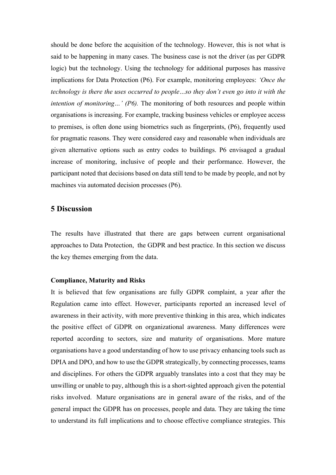should be done before the acquisition of the technology. However, this is not what is said to be happening in many cases. The business case is not the driver (as per GDPR logic) but the technology. Using the technology for additional purposes has massive implications for Data Protection (P6). For example, monitoring employees: *'Once the technology is there the uses occurred to people…so they don't even go into it with the intention of monitoring…' (P6).* The monitoring of both resources and people within organisations is increasing. For example, tracking business vehicles or employee access to premises, is often done using biometrics such as fingerprints, (P6), frequently used for pragmatic reasons. They were considered easy and reasonable when individuals are given alternative options such as entry codes to buildings. P6 envisaged a gradual increase of monitoring, inclusive of people and their performance. However, the participant noted that decisions based on data still tend to be made by people, and not by machines via automated decision processes (P6).

# **5 Discussion**

The results have illustrated that there are gaps between current organisational approaches to Data Protection, the GDPR and best practice. In this section we discuss the key themes emerging from the data.

#### **Compliance, Maturity and Risks**

It is believed that few organisations are fully GDPR complaint, a year after the Regulation came into effect. However, participants reported an increased level of awareness in their activity, with more preventive thinking in this area, which indicates the positive effect of GDPR on organizational awareness. Many differences were reported according to sectors, size and maturity of organisations. More mature organisations have a good understanding of how to use privacy enhancing tools such as DPIA and DPO, and how to use the GDPR strategically, by connecting processes, teams and disciplines. For others the GDPR arguably translates into a cost that they may be unwilling or unable to pay, although this is a short-sighted approach given the potential risks involved. Mature organisations are in general aware of the risks, and of the general impact the GDPR has on processes, people and data. They are taking the time to understand its full implications and to choose effective compliance strategies. This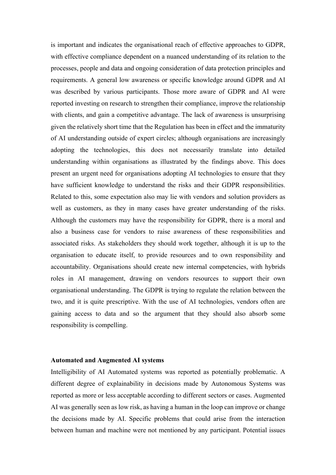is important and indicates the organisational reach of effective approaches to GDPR, with effective compliance dependent on a nuanced understanding of its relation to the processes, people and data and ongoing consideration of data protection principles and requirements. A general low awareness or specific knowledge around GDPR and AI was described by various participants. Those more aware of GDPR and AI were reported investing on research to strengthen their compliance, improve the relationship with clients, and gain a competitive advantage. The lack of awareness is unsurprising given the relatively short time that the Regulation has been in effect and the immaturity of AI understanding outside of expert circles; although organisations are increasingly adopting the technologies, this does not necessarily translate into detailed understanding within organisations as illustrated by the findings above. This does present an urgent need for organisations adopting AI technologies to ensure that they have sufficient knowledge to understand the risks and their GDPR responsibilities. Related to this, some expectation also may lie with vendors and solution providers as well as customers, as they in many cases have greater understanding of the risks. Although the customers may have the responsibility for GDPR, there is a moral and also a business case for vendors to raise awareness of these responsibilities and associated risks. As stakeholders they should work together, although it is up to the organisation to educate itself, to provide resources and to own responsibility and accountability. Organisations should create new internal competencies, with hybrids roles in AI management, drawing on vendors resources to support their own organisational understanding. The GDPR is trying to regulate the relation between the two, and it is quite prescriptive. With the use of AI technologies, vendors often are gaining access to data and so the argument that they should also absorb some responsibility is compelling.

#### **Automated and Augmented AI systems**

Intelligibility of AI Automated systems was reported as potentially problematic. A different degree of explainability in decisions made by Autonomous Systems was reported as more or less acceptable according to different sectors or cases. Augmented AI was generally seen as low risk, as having a human in the loop can improve or change the decisions made by AI. Specific problems that could arise from the interaction between human and machine were not mentioned by any participant. Potential issues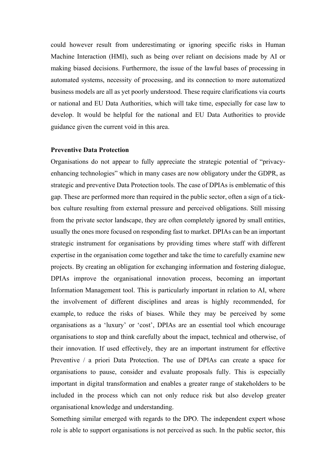could however result from underestimating or ignoring specific risks in Human Machine Interaction (HMI), such as being over reliant on decisions made by AI or making biased decisions. Furthermore, the issue of the lawful bases of processing in automated systems, necessity of processing, and its connection to more automatized business models are all as yet poorly understood. These require clarifications via courts or national and EU Data Authorities, which will take time, especially for case law to develop. It would be helpful for the national and EU Data Authorities to provide guidance given the current void in this area.

#### **Preventive Data Protection**

Organisations do not appear to fully appreciate the strategic potential of "privacyenhancing technologies" which in many cases are now obligatory under the GDPR, as strategic and preventive Data Protection tools. The case of DPIAs is emblematic of this gap. These are performed more than required in the public sector, often a sign of a tickbox culture resulting from external pressure and perceived obligations. Still missing from the private sector landscape, they are often completely ignored by small entities, usually the ones more focused on responding fast to market. DPIAs can be an important strategic instrument for organisations by providing times where staff with different expertise in the organisation come together and take the time to carefully examine new projects. By creating an obligation for exchanging information and fostering dialogue, DPIAs improve the organisational innovation process, becoming an important Information Management tool. This is particularly important in relation to AI, where the involvement of different disciplines and areas is highly recommended, for example, to reduce the risks of biases. While they may be perceived by some organisations as a 'luxury' or 'cost', DPIAs are an essential tool which encourage organisations to stop and think carefully about the impact, technical and otherwise, of their innovation. If used effectively, they are an important instrument for effective Preventive / a priori Data Protection. The use of DPIAs can create a space for organisations to pause, consider and evaluate proposals fully. This is especially important in digital transformation and enables a greater range of stakeholders to be included in the process which can not only reduce risk but also develop greater organisational knowledge and understanding.

Something similar emerged with regards to the DPO. The independent expert whose role is able to support organisations is not perceived as such. In the public sector, this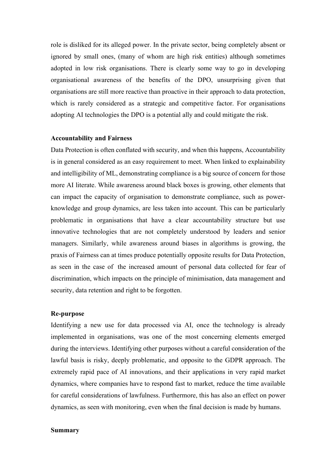role is disliked for its alleged power. In the private sector, being completely absent or ignored by small ones, (many of whom are high risk entities) although sometimes adopted in low risk organisations. There is clearly some way to go in developing organisational awareness of the benefits of the DPO, unsurprising given that organisations are still more reactive than proactive in their approach to data protection, which is rarely considered as a strategic and competitive factor. For organisations adopting AI technologies the DPO is a potential ally and could mitigate the risk.

#### **Accountability and Fairness**

Data Protection is often conflated with security, and when this happens, Accountability is in general considered as an easy requirement to meet. When linked to explainability and intelligibility of ML, demonstrating compliance is a big source of concern for those more AI literate. While awareness around black boxes is growing, other elements that can impact the capacity of organisation to demonstrate compliance, such as powerknowledge and group dynamics, are less taken into account. This can be particularly problematic in organisations that have a clear accountability structure but use innovative technologies that are not completely understood by leaders and senior managers. Similarly, while awareness around biases in algorithms is growing, the praxis of Fairness can at times produce potentially opposite results for Data Protection, as seen in the case of the increased amount of personal data collected for fear of discrimination, which impacts on the principle of minimisation, data management and security, data retention and right to be forgotten.

#### **Re-purpose**

Identifying a new use for data processed via AI, once the technology is already implemented in organisations, was one of the most concerning elements emerged during the interviews. Identifying other purposes without a careful consideration of the lawful basis is risky, deeply problematic, and opposite to the GDPR approach. The extremely rapid pace of AI innovations, and their applications in very rapid market dynamics, where companies have to respond fast to market, reduce the time available for careful considerations of lawfulness. Furthermore, this has also an effect on power dynamics, as seen with monitoring, even when the final decision is made by humans.

#### **Summary**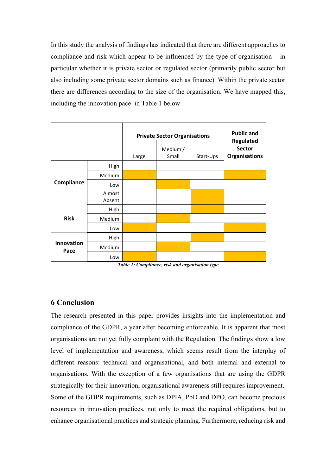In this study the analysis of findings has indicated that there are different approaches to compliance and risk which appear to be influenced by the type of organisation – in particular whether it is private sector or regulated sector (primarily public sector but also including some private sector domains such as finance). Within the private sector there are differences according to the size of the organisation. We have mapped this, including the innovation pace in Table 1 below

|                           |                  | <b>Private Sector Organisations</b> | <b>Public and</b> |           |                                                    |
|---------------------------|------------------|-------------------------------------|-------------------|-----------|----------------------------------------------------|
|                           |                  | Large                               | Medium /<br>Small | Start-Ups | Regulated<br><b>Sector</b><br><b>Organisations</b> |
| Compliance                | High             |                                     |                   |           |                                                    |
|                           | Medium           |                                     |                   |           |                                                    |
|                           | Low              |                                     |                   |           |                                                    |
|                           | Almost<br>Absent |                                     |                   |           |                                                    |
| <b>Risk</b>               | High             |                                     |                   |           |                                                    |
|                           | Medium           |                                     |                   |           |                                                    |
|                           | Low              |                                     |                   |           |                                                    |
| <b>Innovation</b><br>Pace | High             |                                     |                   |           |                                                    |
|                           | Medium           |                                     |                   |           |                                                    |
|                           | Low              |                                     |                   |           |                                                    |

*Table 1: Compliance, risk and organisation type*

# **6 Conclusion**

The research presented in this paper provides insights into the implementation and compliance of the GDPR, a year after becoming enforceable. It is apparent that most organisations are not yet fully complaint with the Regulation. The findings show a low level of implementation and awareness, which seems result from the interplay of different reasons: technical and organisational, and both internal and external to organisations. With the exception of a few organisations that are using the GDPR strategically for their innovation, organisational awareness still requires improvement. Some of the GDPR requirements, such as DPIA, PbD and DPO, can become precious resources in innovation practices, not only to meet the required obligations, but to enhance organisational practices and strategic planning. Furthermore, reducing risk and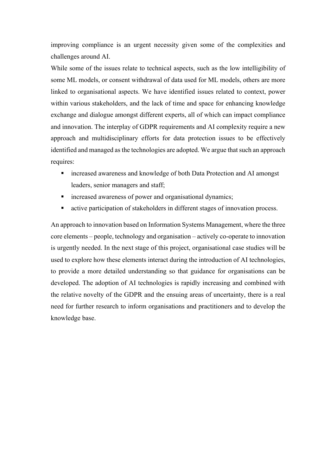improving compliance is an urgent necessity given some of the complexities and challenges around AI.

While some of the issues relate to technical aspects, such as the low intelligibility of some ML models, or consent withdrawal of data used for ML models, others are more linked to organisational aspects. We have identified issues related to context, power within various stakeholders, and the lack of time and space for enhancing knowledge exchange and dialogue amongst different experts, all of which can impact compliance and innovation. The interplay of GDPR requirements and AI complexity require a new approach and multidisciplinary efforts for data protection issues to be effectively identified and managed as the technologies are adopted. We argue that such an approach requires:

- increased awareness and knowledge of both Data Protection and AI amongst leaders, senior managers and staff;
- increased awareness of power and organisational dynamics;
- active participation of stakeholders in different stages of innovation process.

An approach to innovation based on Information Systems Management, where the three core elements – people, technology and organisation – actively co-operate to innovation is urgently needed. In the next stage of this project, organisational case studies will be used to explore how these elements interact during the introduction of AI technologies, to provide a more detailed understanding so that guidance for organisations can be developed. The adoption of AI technologies is rapidly increasing and combined with the relative novelty of the GDPR and the ensuing areas of uncertainty, there is a real need for further research to inform organisations and practitioners and to develop the knowledge base.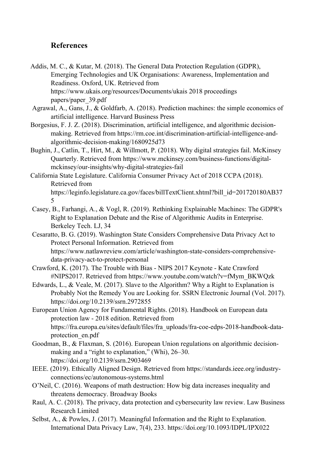# **References**

- Addis, M. C., & Kutar, M. (2018). The General Data Protection Regulation (GDPR), Emerging Technologies and UK Organisations: Awareness, Implementation and Readiness. Oxford, UK. Retrieved from https://www.ukais.org/resources/Documents/ukais 2018 proceedings papers/paper\_39.pdf
- Agrawal, A., Gans, J., & Goldfarb, A. (2018). Prediction machines: the simple economics of artificial intelligence. Harvard Business Press
- Borgesius, F. J. Z. (2018). Discrimination, artificial intelligence, and algorithmic decisionmaking. Retrieved from https://rm.coe.int/discrimination-artificial-intelligence-andalgorithmic-decision-making/1680925d73
- Bughin, J., Catlin, T., Hirt, M., & Willmott, P. (2018). Why digital strategies fail. McKinsey Quarterly. Retrieved from https://www.mckinsey.com/business-functions/digitalmckinsey/our-insights/why-digital-strategies-fail
- California State Legislature. California Consumer Privacy Act of 2018 CCPA (2018). Retrieved from https://leginfo.legislature.ca.gov/faces/billTextClient.xhtml?bill\_id=201720180AB37 5
- Casey, B., Farhangi, A., & Vogl, R. (2019). Rethinking Explainable Machines: The GDPR's Right to Explanation Debate and the Rise of Algorithmic Audits in Enterprise. Berkeley Tech. LJ, 34
- Cesaratto, B. G. (2019). Washington State Considers Comprehensive Data Privacy Act to Protect Personal Information. Retrieved from https://www.natlawreview.com/article/washington-state-considers-comprehensivedata-privacy-act-to-protect-personal
- Crawford, K. (2017). The Trouble with Bias NIPS 2017 Keynote Kate Crawford #NIPS2017. Retrieved from https://www.youtube.com/watch?v=fMym\_BKWQzk
- Edwards, L., & Veale, M. (2017). Slave to the Algorithm? Why a Right to Explanation is Probably Not the Remedy You are Looking for. SSRN Electronic Journal (Vol. 2017). https://doi.org/10.2139/ssrn.2972855
- European Union Agency for Fundamental Rights. (2018). Handbook on European data protection law - 2018 edition. Retrieved from https://fra.europa.eu/sites/default/files/fra\_uploads/fra-coe-edps-2018-handbook-dataprotection\_en.pdf
- Goodman, B., & Flaxman, S. (2016). European Union regulations on algorithmic decisionmaking and a "right to explanation," (Whi), 26–30. https://doi.org/10.2139/ssrn.2903469
- IEEE. (2019). Ethically Aligned Design. Retrieved from https://standards.ieee.org/industryconnections/ec/autonomous-systems.html
- O'Neil, C. (2016). Weapons of math destruction: How big data increases inequality and threatens democracy. Broadway Books
- Raul, A. C. (2018). The privacy, data protection and cybersecurity law review. Law Business Research Limited
- Selbst, A., & Powles, J. (2017). Meaningful Information and the Right to Explanation. International Data Privacy Law, 7(4), 233. https://doi.org/10.1093/IDPL/IPX022